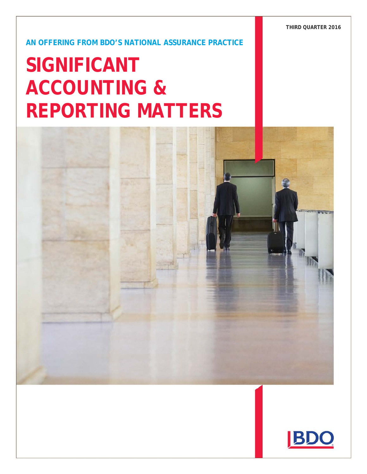**THIRD QUARTER 2016**

Significant Accounting & Reporting Matters − Second Quarter 2011 **1**

**AN OFFERING FROM BDO'S NATIONAL ASSURANCE PRACTICE**

# **SIGNIFICANT ACCOUNTING & REPORTING MATTERS**



Material discussed is meant to provide general information and should not be acted on without professional advice tailored to your firm's individual

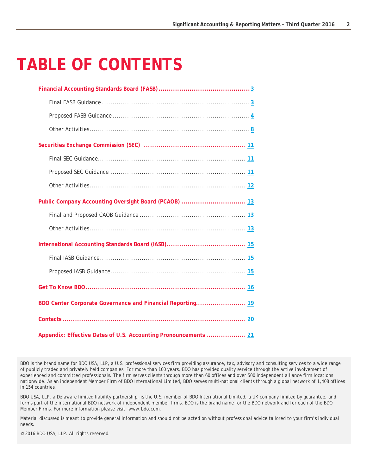## **TABLE OF CONTENTS**

| Public Company Accounting Oversight Board (PCAOB)  13           |
|-----------------------------------------------------------------|
|                                                                 |
|                                                                 |
|                                                                 |
|                                                                 |
|                                                                 |
|                                                                 |
| BDO Center Corporate Governance and Financial Reporting 19      |
|                                                                 |
| Appendix: Effective Dates of U.S. Accounting Pronouncements  21 |

BDO is the brand name for BDO USA, LLP, a U.S. professional services firm providing assurance, tax, advisory and consulting services to a wide range of publicly traded and privately held companies. For more than 100 years, BDO has provided quality service through the active involvement of experienced and committed professionals. The firm serves clients through more than 60 offices and over 500 independent alliance firm locations nationwide. As an independent Member Firm of BDO International Limited, BDO serves multi-national clients through a global network of 1,408 offices in 154 countries.

BDO USA, LLP, a Delaware limited liability partnership, is the U.S. member of BDO International Limited, a UK company limited by guarantee, and forms part of the international BDO network of independent member firms. BDO is the brand name for the BDO network and for each of the BDO Member Firms. For more information please visit: www.bdo.com.

Material discussed is meant to provide general information and should not be acted on without professional advice tailored to your firm's individual needs.

© 2016 BDO USA, LLP. All rights reserved.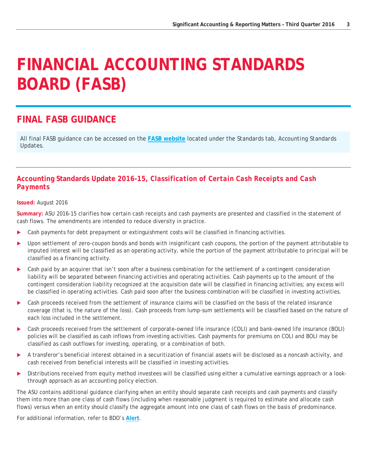## <span id="page-2-0"></span>**FINANCIAL ACCOUNTING STANDARDS BOARD (FASB)**

### <span id="page-2-1"></span>**FINAL FASB GUIDANCE**

All final FASB guidance can be accessed on the **[FASB website](http://www.fasb.org/home)** located under the *Standards* tab, *Accounting Standards Updates*.

#### **Accounting Standards Update 2016-15,** *Classification of Certain Cash Receipts and Cash Payments*

#### **Issued:** August 2016

**Summary:** ASU 2016-15 clarifies how certain cash receipts and cash payments are presented and classified in the statement of cash flows. The amendments are intended to reduce diversity in practice.

- Cash payments for debt prepayment or extinguishment costs will be classified in financing activities.
- Upon settlement of zero-coupon bonds and bonds with insignificant cash coupons, the portion of the payment attributable to imputed interest will be classified as an operating activity, while the portion of the payment attributable to principal will be classified as a financing activity.
- Cash paid by an acquirer that isn't soon after a business combination for the settlement of a contingent consideration liability will be separated between financing activities and operating activities. Cash payments up to the amount of the contingent consideration liability recognized at the acquisition date will be classified in financing activities; any excess will be classified in operating activities. Cash paid soon after the business combination will be classified in investing activities.
- Cash proceeds received from the settlement of insurance claims will be classified on the basis of the related insurance coverage (that is, the nature of the loss). Cash proceeds from lump-sum settlements will be classified based on the nature of each loss included in the settlement.
- Cash proceeds received from the settlement of corporate-owned life insurance (COLI) and bank-owned life insurance (BOLI) policies will be classified as cash inflows from investing activities. Cash payments for premiums on COLI and BOLI may be classified as cash outflows for investing, operating, or a combination of both.
- A transferor's beneficial interest obtained in a securitization of financial assets will be disclosed as a noncash activity, and cash received from beneficial interests will be classified in investing activities.
- Distributions received from equity method investees will be classified using either a cumulative earnings approach or a lookthrough approach as an accounting policy election.

The ASU contains additional guidance clarifying when an entity should separate cash receipts and cash payments and classify them into more than one class of cash flows (including when reasonable judgment is required to estimate and allocate cash flows) versus when an entity should classify the aggregate amount into one class of cash flows on the basis of predominance.

For additional information, refer to BDO's **[Alert](https://www.bdo.com/insights/assurance/fasb/fasb-flash-report-september-2016)**.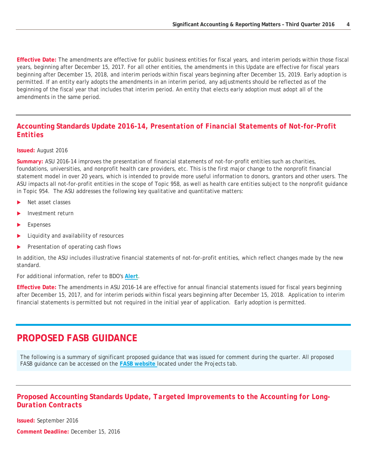**Effective Date:** The amendments are effective for public business entities for fiscal years, and interim periods within those fiscal years, beginning after December 15, 2017. For all other entities, the amendments in this Update are effective for fiscal years beginning after December 15, 2018, and interim periods within fiscal years beginning after December 15, 2019. Early adoption is permitted. If an entity early adopts the amendments in an interim period, any adjustments should be reflected as of the beginning of the fiscal year that includes that interim period. An entity that elects early adoption must adopt all of the amendments in the same period.

#### **Accounting Standards Update 2016-14,** *Presentation of Financial Statements of Not-for-Profit Entities*

#### **Issued:** August 2016

**Summary:** ASU 2016-14 improves the presentation of financial statements of not-for-profit entities such as charities, foundations, universities, and nonprofit health care providers, etc. This is the first major change to the nonprofit financial statement model in over 20 years, which is intended to provide more useful information to donors, grantors and other users. The ASU impacts all not-for-profit entities in the scope of Topic 958, as well as health care entities subject to the nonprofit guidance in Topic 954. The ASU addresses the following key qualitative and quantitative matters:

- Net asset classes
- Investment return
- Expenses
- Liquidity and availability of resources
- Presentation of operating cash flows

In addition, the ASU includes illustrative financial statements of not-for-profit entities, which reflect changes made by the new standard.

For additional information, refer to BDO's **[Alert](https://www.bdo.com/insights/assurance/fasb/fasb-flash-report-august-2016)**.

**Effective Date:** The amendments in ASU 2016-14 are effective for annual financial statements issued for fiscal years beginning after December 15, 2017, and for interim periods within fiscal years beginning after December 15, 2018. Application to interim financial statements is permitted but not required in the initial year of application. Early adoption is permitted.

### <span id="page-3-0"></span>**PROPOSED FASB GUIDANCE**

The following is a summary of significant proposed guidance that was issued for comment during the quarter. All proposed FASB guidance can be accessed on the **[FASB website](http://www.fasb.org/home)** located under the *Projects* tab.

#### **Proposed Accounting Standards Update,** *Targeted Improvements to the Accounting for Long-Duration Contracts*

**Issued:** September 2016

**Comment Deadline:** December 15, 2016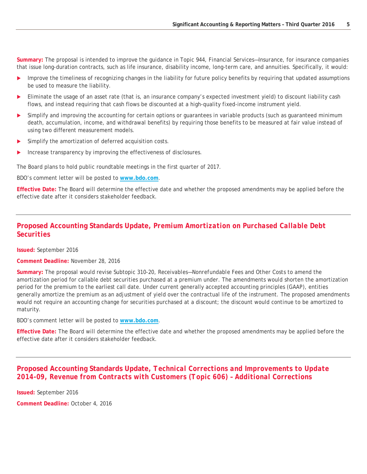**Summary:** The proposal is intended to improve the guidance in Topic 944, *Financial Services—Insurance*, for insurance companies that issue long-duration contracts, such as life insurance, disability income, long-term care, and annuities. Specifically, it would:

- Improve the timeliness of recognizing changes in the liability for future policy benefits by requiring that updated assumptions be used to measure the liability.
- Eliminate the usage of an asset rate (that is, an insurance company's expected investment yield) to discount liability cash flows, and instead requiring that cash flows be discounted at a high-quality fixed-income instrument yield.
- Simplify and improving the accounting for certain options or guarantees in variable products (such as guaranteed minimum death, accumulation, income, and withdrawal benefits) by requiring those benefits to be measured at fair value instead of using two different measurement models.
- Simplify the amortization of deferred acquisition costs.
- Increase transparency by improving the effectiveness of disclosures.

The Board plans to hold public roundtable meetings in the first quarter of 2017.

BDO's comment letter will be posted to **[www.bdo.com](http://www.bdo.com/)**.

**Effective Date:** The Board will determine the effective date and whether the proposed amendments may be applied before the effective date after it considers stakeholder feedback.

#### **Proposed Accounting Standards Update,** *Premium Amortization on Purchased Callable Debt Securities*

**Issued:** September 2016

#### **Comment Deadline:** November 28, 2016

**Summary:** The proposal would revise Subtopic 310-20, *Receivables—Nonrefundable Fees and Other Costs* to amend the amortization period for callable debt securities purchased at a premium under. The amendments would shorten the amortization period for the premium to the earliest call date. Under current generally accepted accounting principles (GAAP), entities generally amortize the premium as an adjustment of yield over the contractual life of the instrument. The proposed amendments would not require an accounting change for securities purchased at a discount; the discount would continue to be amortized to maturity.

BDO's comment letter will be posted to **[www.bdo.com](http://www.bdo.com/)**.

**Effective Date:** The Board will determine the effective date and whether the proposed amendments may be applied before the effective date after it considers stakeholder feedback.

#### **Proposed Accounting Standards Update,** *Technical Corrections and Improvements to Update 2014-09, Revenue from Contracts with Customers (Topic 606) – Additional Corrections*

**Issued:** September 2016

**Comment Deadline:** October 4, 2016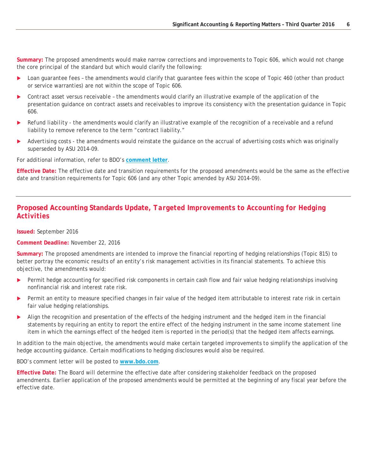**Summary:** The proposed amendments would make narrow corrections and improvements to Topic 606, which would not change the core principal of the standard but which would clarify the following:

- *Loan guarantee fees –* the amendments would clarify that guarantee fees within the scope of Topic 460 (other than product or service warranties) are not within the scope of Topic 606.
- *Contract asset versus receivable –* the amendments would clarify an illustrative example of the application of the presentation guidance on contract assets and receivables to improve its consistency with the presentation guidance in Topic 606.
- *Refund liability -* the amendments would clarify an illustrative example of the recognition of a receivable and a refund liability to remove reference to the term "contract liability."
- *Advertising costs* the amendments would reinstate the guidance on the accrual of advertising costs which was originally superseded by ASU 2014-09.

For additional information, refer to BDO's **[comment letter](http://www.fasb.org/cs/BlobServer?blobkey=id&blobnocache=true&blobwhere=1175834010711&blobheader=application%2Fpdf&blobheadername2=Content-Length&blobheadername1=Content-Disposition&blobheadervalue2=503800&blobheadervalue1=filename%3DRRTC2.ED.0003.BDO_USA_LLP.pdf&blobcol=urldata&blobtable=MungoBlobs)**.

**Effective Date:** The effective date and transition requirements for the proposed amendments would be the same as the effective date and transition requirements for Topic 606 (and any other Topic amended by ASU 2014-09).

#### **Proposed Accounting Standards Update,** *Targeted Improvements to Accounting for Hedging Activities*

**Issued:** September 2016

**Comment Deadline:** November 22, 2016

**Summary:** The proposed amendments are intended to improve the financial reporting of hedging relationships (Topic 815) to better portray the economic results of an entity's risk management activities in its financial statements. To achieve this objective, the amendments would:

- Permit hedge accounting for specified risk components in certain cash flow and fair value hedging relationships involving nonfinancial risk and interest rate risk.
- Permit an entity to measure specified changes in fair value of the hedged item attributable to interest rate risk in certain fair value hedging relationships.
- Align the recognition and presentation of the effects of the hedging instrument and the hedged item in the financial statements by requiring an entity to report the entire effect of the hedging instrument in the same income statement line item in which the earnings effect of the hedged item is reported in the period(s) that the hedged item affects earnings.

In addition to the main objective, the amendments would make certain targeted improvements to simplify the application of the hedge accounting guidance. Certain modifications to hedging disclosures would also be required.

BDO's comment letter will be posted to **[www.bdo.com](http://www.bdo.com/)**.

**Effective Date:** The Board will determine the effective date after considering stakeholder feedback on the proposed amendments. Earlier application of the proposed amendments would be permitted at the beginning of any fiscal year before the effective date.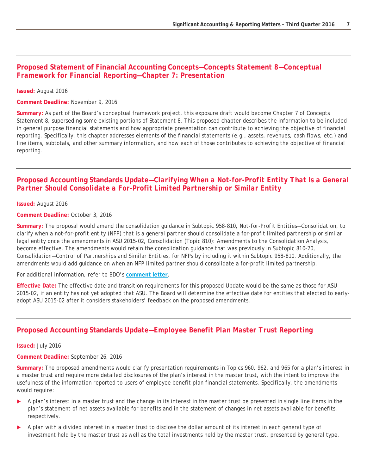#### **Proposed Statement of Financial Accounting Concepts—***Concepts Statement 8—Conceptual Framework for Financial Reporting—Chapter 7: Presentation*

#### **Issued:** August 2016

**Comment Deadline:** November 9, 2016

**Summary:** As part of the Board's conceptual framework project, this exposure draft would become Chapter 7 of Concepts Statement 8, superseding some existing portions of Statement 8. This proposed chapter describes the information to be included in general purpose financial statements and how appropriate presentation can contribute to achieving the objective of financial reporting. Specifically, this chapter addresses elements of the financial statements (e.g., assets, revenues, cash flows, etc.) and line items, subtotals, and other summary information, and how each of those contributes to achieving the objective of financial reporting.

#### **Proposed Accounting Standards Update—***Clarifying When a Not-for-Profit Entity That Is a General Partner Should Consolidate a For-Profit Limited Partnership or Similar Entity*

**Issued:** August 2016

**Comment Deadline:** October 3, 2016

**Summary:** The proposal would amend the consolidation guidance in Subtopic 958-810, *Not-for-Profit Entities—Consolidation*, to clarify when a not-for-profit entity (NFP) that is a general partner should consolidate a for-profit limited partnership or similar legal entity once the amendments in ASU 2015-02, *Consolidation (Topic 810): Amendments to the Consolidation Analysis,*  become effective. The amendments would retain the consolidation guidance that was previously in Subtopic 810-20, *Consolidation—Control of Partnerships and Similar Entities*, for NFPs by including it within Subtopic 958-810. Additionally, the amendments would add guidance on when an NFP limited partner should consolidate a for-profit limited partnership.

For additional information, refer to BDO's **[comment letter](http://www.fasb.org/cs/BlobServer?blobkey=id&blobnocache=true&blobwhere=1175834001827&blobheader=application%2Fpdf&blobheadername2=Content-Length&blobheadername1=Content-Disposition&blobheadervalue2=487317&blobheadervalue1=filename%3DNFPCON.ED.0006.BDO_USA_LLP.pdf&blobcol=urldata&blobtable=MungoBlobs)**.

**Effective Date:** The effective date and transition requirements for this proposed Update would be the same as those for ASU 2015-02, if an entity has not yet adopted that ASU. The Board will determine the effective date for entities that elected to earlyadopt ASU 2015-02 after it considers stakeholders' feedback on the proposed amendments.

#### **Proposed Accounting Standards Update—***Employee Benefit Plan Master Trust Reporting*

**Issued:** July 2016

**Comment Deadline:** September 26, 2016

**Summary:** The proposed amendments would clarify presentation requirements in Topics 960, 962, and 965 for a plan's interest in a master trust and require more detailed disclosures of the plan's interest in the master trust, with the intent to improve the usefulness of the information reported to users of employee benefit plan financial statements. Specifically, the amendments would require:

- A plan's interest in a master trust and the change in its interest in the master trust be presented in single line items in the plan's statement of net assets available for benefits and in the statement of changes in net assets available for benefits, respectively.
- A plan with a divided interest in a master trust to disclose the dollar amount of its interest in each general type of investment held by the master trust as well as the total investments held by the master trust, presented by general type.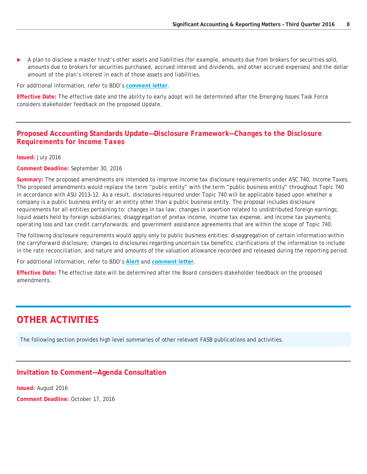A plan to disclose a master trust's other assets and liabilities (for example, amounts due from brokers for securities sold, amounts due to brokers for securities purchased, accrued interest and dividends, and other accrued expenses) and the dollar amount of the plan's interest in each of those assets and liabilities.

For additional information, refer to BDO's **[comment letter](https://www.bdo.com/insights/assurance/comment-letters/bdo-comment-letter-employee-benefit-plan-master)**.

**Effective Date:** The effective date and the ability to early adopt will be determined after the Emerging Issues Task Force considers stakeholder feedback on the proposed Update.

#### **Proposed Accounting Standards Update—***Disclosure Framework—Changes to the Disclosure Requirements for Income Taxes*

**Issued:** July 2016

**Comment Deadline:** September 30, 2016

**Summary:** The proposed amendments are intended to improve income tax disclosure requirements under ASC 740, *Income Taxes*. The proposed amendments would replace the term "public entity" with the term "public business entity" throughout Topic 740 in accordance with ASU 2013-12. As a result, disclosures required under Topic 740 will be applicable based upon whether a company is a public business entity or an entity other than a public business entity. The proposal includes disclosure requirements for all entities pertaining to: changes in tax law; changes in assertion related to undistributed foreign earnings; liquid assets held by foreign subsidiaries; disaggregation of pretax income, income tax expense, and income tax payments; operating loss and tax credit carryforwards; and government assistance agreements that are within the scope of Topic 740.

The following disclosure requirements would apply only to public business entities: disaggregation of certain information within the carryforward disclosure; changes to disclosures regarding uncertain tax benefits; clarifications of the information to include in the rate reconciliation; and nature and amounts of the valuation allowance recorded and released during the reporting period.

For additional information, refer to BDO's **[Alert](https://www.bdo.com/insights/assurance/fasb/fasb-flash-report-july-2016)** and **[comment letter](http://www.fasb.org/cs/BlobServer?blobkey=id&blobnocache=true&blobwhere=1175834001693&blobheader=application%2Fpdf&blobheadername2=Content-Length&blobheadername1=Content-Disposition&blobheadervalue2=527437&blobheadervalue1=filename%3DDISFR_TAX.ED.0024.BDO_USA_LLP.pdf&blobcol=urldata&blobtable=MungoBlobs)**.

<span id="page-7-0"></span>**Effective Date:** The effective date will be determined after the Board considers stakeholder feedback on the proposed amendments.

## **OTHER ACTIVITIES**

The following section provides high level summaries of other relevant FASB publications and activities.

#### **Invitation to Comment—Agenda Consultation**

**Issued:** August 2016

**Comment Deadline:** October 17, 2016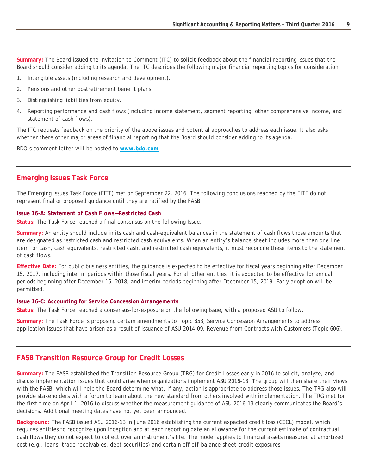**Summary:** The Board issued the Invitation to Comment (ITC) to solicit feedback about the financial reporting issues that the Board should consider adding to its agenda. The ITC describes the following major financial reporting topics for consideration:

- 1. Intangible assets (including research and development).
- 2. Pensions and other postretirement benefit plans.
- 3. Distinguishing liabilities from equity.
- 4. Reporting performance and cash flows (including income statement, segment reporting, other comprehensive income, and statement of cash flows).

The ITC requests feedback on the priority of the above issues and potential approaches to address each issue. It also asks whether there other major areas of financial reporting that the Board should consider adding to its agenda.

BDO's comment letter will be posted to **[www.bdo.com](http://www.bdo.com/)**.

#### **Emerging Issues Task Force**

The Emerging Issues Task Force (EITF) met on September 22, 2016. The following conclusions reached by the EITF do not represent final or proposed guidance until they are ratified by the FASB.

#### *Issue 16-A: Statement of Cash Flows—Restricted Cash*

**Status:** The Task Force reached a final consensus on the following Issue.

**Summary:** An entity should include in its cash and cash-equivalent balances in the statement of cash flows those amounts that are designated as restricted cash and restricted cash equivalents. When an entity's balance sheet includes more than one line item for cash, cash equivalents, restricted cash, and restricted cash equivalents, it must reconcile these items to the statement of cash flows.

**Effective Date:** For public business entities, the guidance is expected to be effective for fiscal years beginning after December 15, 2017, including interim periods within those fiscal years. For all other entities, it is expected to be effective for annual periods beginning after December 15, 2018, and interim periods beginning after December 15, 2019. Early adoption will be permitted.

#### *Issue 16-C: Accounting for Service Concession Arrangements*

**Status:** The Task Force reached a consensus-for-exposure on the following Issue, with a proposed ASU to follow.

**Summary:** The Task Force is proposing certain amendments to Topic 853, *Service Concession Arrangements* to address application issues that have arisen as a result of issuance of ASU 2014-09, *Revenue from Contracts with Customers* (Topic 606).

#### **FASB Transition Resource Group for Credit Losses**

**Summary:** The FASB established the Transition Resource Group (TRG) for Credit Losses early in 2016 to solicit, analyze, and discuss implementation issues that could arise when organizations implement ASU 2016-13. The group will then share their views with the FASB, which will help the Board determine what, if any, action is appropriate to address those issues. The TRG also will provide stakeholders with a forum to learn about the new standard from others involved with implementation. The TRG met for the first time on April 1, 2016 to discuss whether the measurement guidance of ASU 2016-13 clearly communicates the Board's decisions. Additional meeting dates have not yet been announced.

**Background:** The FASB issued ASU 2016-13 in June 2016 establishing the current expected credit loss (CECL) model, which requires entities to recognize upon inception and at each reporting date an allowance for the current estimate of contractual cash flows they do not expect to collect over an instrument's life. The model applies to financial assets measured at amortized cost (e.g., loans, trade receivables, debt securities) and certain off off-balance sheet credit exposures.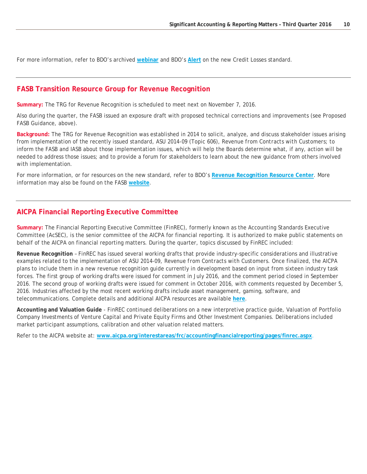For more information, refer to BDO's archived **[webinar](https://www.bdo.com/events/financial-instruments-update-credit-losses-and-r)** and BDO's **[Alert](https://www.bdo.com/insights/assurance/fasb/fasb-flash-report-june-2016)** on the new Credit Losses standard.

#### **FASB Transition Resource Group for Revenue Recognition**

**Summary:** The TRG for Revenue Recognition is scheduled to meet next on November 7, 2016.

Also during the quarter, the FASB issued an exposure draft with proposed technical corrections and improvements (see *Proposed FASB Guidance*, above).

**Background:** The TRG for Revenue Recognition was established in 2014 to solicit, analyze, and discuss stakeholder issues arising from implementation of the recently issued standard, ASU 2014-09 (Topic 606), *Revenue from Contracts with Customers*; to inform the FASB and IASB about those implementation issues, which will help the Boards determine what, if any, action will be needed to address those issues; and to provide a forum for stakeholders to learn about the new guidance from others involved with implementation.

For more information, or for resources on the new standard, refer to BDO's **[Revenue Recognition Resource Center](http://www.bdo.com/bdoknows/revenue-recognition/)**. More information may also be found on the FASB **[website](http://www.fasb.org/cs/ContentServer?c=Page&pagename=FASB%2FPage%2FLandingPage&cid=1176164065747)**.

#### **AICPA Financial Reporting Executive Committee**

**Summary:** The Financial Reporting Executive Committee (FinREC), formerly known as the Accounting Standards Executive Committee (AcSEC), is the senior committee of the AICPA for financial reporting. It is authorized to make public statements on behalf of the AICPA on financial reporting matters. During the quarter, topics discussed by FinREC included:

**Revenue Recognition** – FinREC has issued several working drafts that provide industry-specific considerations and illustrative examples related to the implementation of ASU 2014-09, *Revenue from Contracts with Customers*. Once finalized, the AICPA plans to include them in a new revenue recognition guide currently in development based on input from sixteen industry task forces. The first group of working drafts were issued for comment in July 2016, and the comment period closed in September 2016. The second group of working drafts were issued for comment in October 2016, with comments requested by December 5, 2016. Industries affected by the most recent working drafts include asset management, gaming, software, and telecommunications. Complete details and additional AICPA resources are available **[here](http://www.aicpa.org/InterestAreas/FRC/AccountingFinancialReporting/RevenueRecognition/Pages/RevenueRecognition.aspx)**.

**Accounting and Valuation Guide** - FinREC continued deliberations on a new interpretive practice guide, Valuation of Portfolio Company Investments of Venture Capital and Private Equity Firms and Other Investment Companies. Deliberations included market participant assumptions, calibration and other valuation related matters.

Refer to the AICPA website at: **[www.aicpa.org/interestareas/frc/accountingfinancialreporting/pages/finrec.aspx](http://www.aicpa.org/interestareas/frc/accountingfinancialreporting/pages/finrec.aspx)**.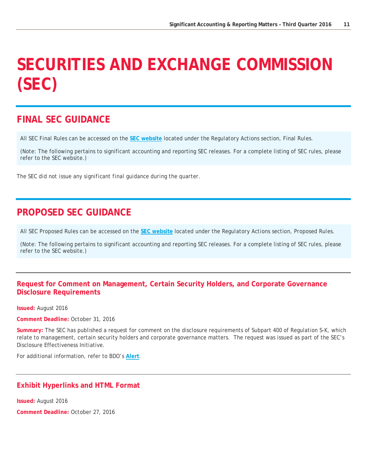## <span id="page-10-0"></span>**SECURITIES AND EXCHANGE COMMISSION (SEC)**

## <span id="page-10-1"></span>**FINAL SEC GUIDANCE**

All SEC Final Rules can be accessed on the **[SEC website](http://www.sec.gov/)** located under the *Regulatory Actions* section, *Final Rules*.

(Note: The following pertains to significant accounting and reporting SEC releases. For a complete listing of SEC rules, please refer to the SEC website.)

*The SEC did not issue any significant final guidance during the quarter.*

## <span id="page-10-2"></span>**PROPOSED SEC GUIDANCE**

All SEC Proposed Rules can be accessed on the **[SEC website](http://www.sec.gov/)** located under the *Regulatory Actions* section, *Proposed Rules*.

(Note: The following pertains to significant accounting and reporting SEC releases. For a complete listing of SEC rules, please refer to the SEC website.)

#### **Request for Comment on Management, Certain Security Holders, and Corporate Governance Disclosure Requirements**

**Issued:** August 2016

**Comment Deadline:** October 31, 2016

**Summary:** The SEC has published a request for comment on the disclosure requirements of Subpart 400 of Regulation S-K, which relate to management, certain security holders and corporate governance matters. The request was issued as part of the SEC's Disclosure Effectiveness Initiative.

For additional information, refer to BDO's **[Alert](https://www.bdo.com/insights/assurance/sec/sec-flash-report-september-2016)**.

#### **Exhibit Hyperlinks and HTML Format**

**Issued:** August 2016

**Comment Deadline:** October 27, 2016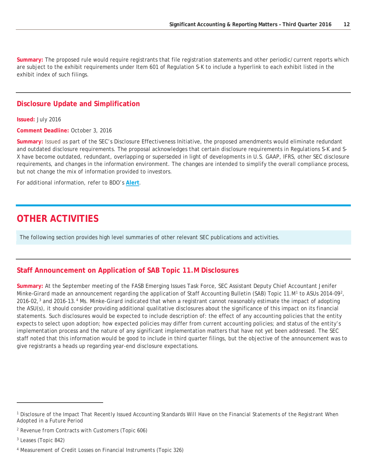**Summary:** The proposed rule would require registrants that file registration statements and other periodic/current reports which are subject to the exhibit requirements under Item 601 of Regulation S-K to include a hyperlink to each exhibit listed in the exhibit index of such filings.

#### **Disclosure Update and Simplification**

**Issued:** July 2016

**Comment Deadline:** October 3, 2016

**Summary:** Issued as part of the SEC's Disclosure Effectiveness Initiative, the proposed amendments would eliminate redundant and outdated disclosure requirements. The proposal acknowledges that certain disclosure requirements in Regulations S-K and S-X have become outdated, redundant, overlapping or superseded in light of developments in U.S. GAAP, IFRS, other SEC disclosure requirements, and changes in the information environment. The changes are intended to simplify the overall compliance process, but not change the mix of information provided to investors.

For additional information, refer to BDO's **[Alert](https://www.bdo.com/insights/assurance/sec/sec-flash-report-july-2016-(3))**.

### <span id="page-11-0"></span>**OTHER ACTIVITIES**

The following section provides high level summaries of other relevant SEC publications and activities.

#### **Staff Announcement on Application of SAB Topic 11.M Disclosures**

**Summary:** At the September meeting of the FASB Emerging Issues Task Force, SEC Assistant Deputy Chief Accountant Jenifer Minke-Girard made an announcement regarding the application of Staff Accounting Bulletin (SAB) Topic [1](#page-11-1)1.M<sup>1</sup> to ASUs 2014-09<sup>2</sup>, 2016-02,[3](#page-11-3) and 2016-13.[4](#page-11-4) Ms. Minke-Girard indicated that when a registrant cannot reasonably estimate the impact of adopting the ASU(s), it should consider providing additional qualitative disclosures about the significance of this impact on its financial statements. Such disclosures would be expected to include description of: the effect of any accounting policies that the entity expects to select upon adoption; how expected policies may differ from current accounting policies; and status of the entity's implementation process and the nature of any significant implementation matters that have not yet been addressed. The SEC staff noted that this information would be good to include in third quarter filings, but the objective of the announcement was to give registrants a heads up regarding year-end disclosure expectations.

-

<span id="page-11-1"></span>*<sup>1</sup> Disclosure of the Impact That Recently Issued Accounting Standards Will Have on the Financial Statements of the Registrant When Adopted in a Future Period*

<span id="page-11-2"></span>*<sup>2</sup> Revenue from Contracts with Customers (Topic 606)*

<span id="page-11-3"></span>*<sup>3</sup> Leases (Topic 842)*

<span id="page-11-4"></span><sup>4</sup> *Measurement of Credit Losses on Financial Instruments (Topic 326)*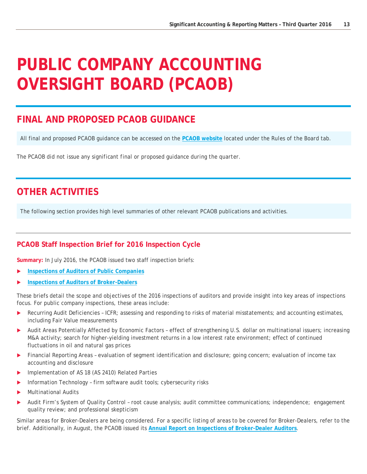## <span id="page-12-0"></span>**PUBLIC COMPANY ACCOUNTING OVERSIGHT BOARD (PCAOB)**

## <span id="page-12-1"></span>**FINAL AND PROPOSED PCAOB GUIDANCE**

All final and proposed PCAOB guidance can be accessed on the **[PCAOB website](http://pcaobus.org/Rules/Pages/default.aspx)** located under the *Rules of the Board* tab.

*The PCAOB did not issue any significant final or proposed guidance during the quarter.*

## <span id="page-12-2"></span>**OTHER ACTIVITIES**

The following section provides high level summaries of other relevant PCAOB publications and activities.

#### **PCAOB Staff Inspection Brief for 2016 Inspection Cycle**

**Summary:** In July 2016, the PCAOB issued two staff inspection briefs:

- **[Inspections of Auditors of Public Companies](https://pcaobus.org/Inspections/Documents/Inspection-Brief-2016-3-Issuers.pdf)**
- **[Inspections of Auditors of Broker-Dealers](https://pcaobus.org/Inspections/Documents/Inspection-Brief-2016-4-Broker-Dealers.pdf)**

These briefs detail the scope and objectives of the 2016 inspections of auditors and provide insight into key areas of inspections focus. For public company inspections, these areas include:

- **Recurring Audit Deficiencies ICFR; assessing and responding to risks of material misstatements; and accounting estimates,** including Fair Value measurements
- Audit Areas Potentially Affected by Economic Factors effect of strengthening U.S. dollar on multinational issuers; increasing M&A activity; search for higher-yielding investment returns in a low interest rate environment; effect of continued fluctuations in oil and natural gas prices
- Financial Reporting Areas evaluation of segment identification and disclosure; going concern; evaluation of income tax accounting and disclosure
- Implementation of AS 18 (AS 2410) Related Parties
- Information Technology firm software audit tools; cybersecurity risks
- Multinational Audits
- Audit Firm's System of Quality Control root cause analysis; audit committee communications; independence; engagement quality review; and professional skepticism

Similar areas for Broker-Dealers are being considered. For a specific listing of areas to be covered for Broker-Dealers, refer to the brief. Additionally, in August, the PCAOB issued its **[Annual Report on Inspections of Broker-Dealer Auditors](https://pcaobus.org/Inspections/Documents/BD-Interim-Inspection-Program-2016.pdf)**.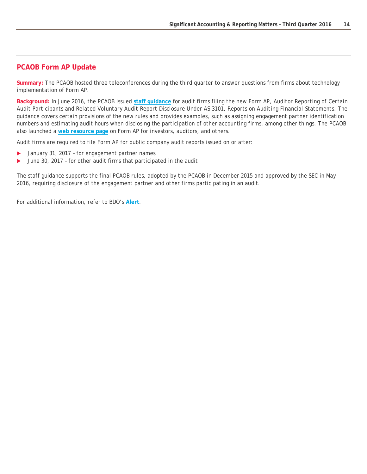#### **PCAOB Form AP Update**

**Summary:** The PCAOB hosted three teleconferences during the third quarter to answer questions from firms about technology implementation of Form AP.

**Background:** In June 2016, the PCAOB issued **[staff guidance](https://pcaobus.org/Standards/Documents/2016-06-28-Form-AP-Staff-Guidance.pdf)** for audit firms filing the new Form AP, *Auditor Reporting of Certain Audit Participants and Related Voluntary Audit Report Disclosure Under AS 3101, Reports on Auditing Financial Statements*. The guidance covers certain provisions of the new rules and provides examples, such as assigning engagement partner identification numbers and estimating audit hours when disclosing the participation of other accounting firms, among other things. The PCAOB also launched a **[web resource page](https://pcaobus.org/Pages/form-ap-reporting-certain-audit-participants.aspx)** on Form AP for investors, auditors, and others.

Audit firms are required to file Form AP for public company audit reports issued on or after:

- ▶ January 31, 2017 for engagement partner names
- June 30, 2017 for other audit firms that participated in the audit

The staff guidance supports the final PCAOB rules, adopted by the PCAOB in December 2015 and approved by the SEC in May 2016, requiring disclosure of the engagement partner and other firms participating in an audit.

For additional information, refer to BDO's **[Alert](https://www.bdo.com/insights/assurance/corporate-governance/corporate-governance-flash-report-july-2016)**.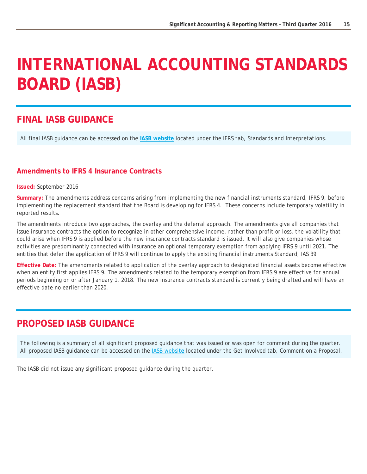## <span id="page-14-0"></span>**INTERNATIONAL ACCOUNTING STANDARDS BOARD (IASB)**

## <span id="page-14-1"></span>**FINAL IASB GUIDANCE**

All final IASB guidance can be accessed on the **[IASB website](http://www.ifrs.org/)** located under the *IFRS* tab, *Standards and Interpretations*.

#### **Amendments to IFRS 4 Insurance Contracts**

**Issued:** September 2016

**Summary:** The amendments address concerns arising from implementing the new financial instruments standard, IFRS 9, before implementing the replacement standard that the Board is developing for IFRS 4. These concerns include temporary volatility in reported results.

The amendments introduce two approaches, the overlay and the deferral approach. The amendments give all companies that issue insurance contracts the option to recognize in other comprehensive income, rather than profit or loss, the volatility that could arise when IFRS 9 is applied before the new insurance contracts standard is issued. It will also give companies whose activities are predominantly connected with insurance an optional temporary exemption from applying IFRS 9 until 2021. The entities that defer the application of IFRS 9 will continue to apply the existing financial instruments Standard, IAS 39.

**Effective Date:** The amendments related to application of the overlay approach to designated financial assets become effective when an entity first applies IFRS 9. The amendments related to the temporary exemption from IFRS 9 are effective for annual periods beginning on or after January 1, 2018. The new insurance contracts standard is currently being drafted and will have an effective date no earlier than 2020.

## <span id="page-14-2"></span>**PROPOSED IASB GUIDANCE**

The following is a summary of all significant proposed guidance that was issued or was open for comment during the quarter. All proposed IASB guidance can be accessed on the [IASB websit](http://www.ifrs.org/)**e** located under the *Get Involved* tab, *Comment on a Proposal*.

<span id="page-14-3"></span>*The IASB did not issue any significant proposed guidance during the quarter.*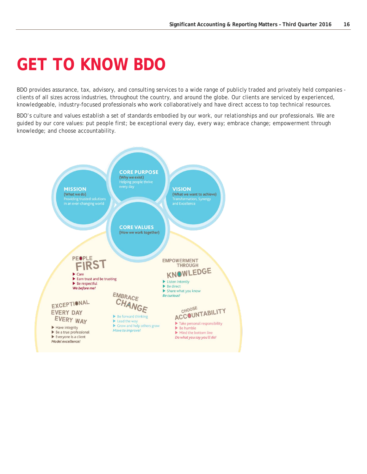# **GET TO KNOW BDO**

BDO provides assurance, tax, advisory, and consulting services to a wide range of publicly traded and privately held companies clients of all sizes across industries, throughout the country, and around the globe. Our clients are serviced by experienced, knowledgeable, industry-focused professionals who work collaboratively and have direct access to top technical resources.

BDO's culture and values establish a set of standards embodied by our work, our relationships and our professionals. We are guided by our core values: put people first; be exceptional every day, every way; embrace change; empowerment through knowledge; and choose accountability.

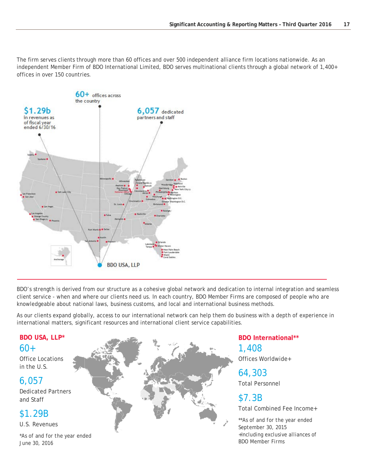The firm serves clients through more than 60 offices and over 500 independent alliance firm locations nationwide. As an independent Member Firm of BDO International Limited, BDO serves multinational clients through a global network of 1,400+ offices in over 150 countries.



BDO's strength is derived from our structure as a cohesive global network and dedication to internal integration and seamless client service - when and where our clients need us. In each country, BDO Member Firms are composed of people who are knowledgeable about national laws, business customs, and local and international business methods.

As our clients expand globally, access to our international network can help them do business with a depth of experience in international matters, significant resources and international client service capabilities.

## **BDO USA, LLP\***

 $60+$ 

Office Locations in the U.S.

#### 6,057

Dedicated Partners and Staff

### \$1.29B

U.S. Revenues

*\*As of and for the year ended June 30, 2016*



**BDO International\*\***  1,408 Offices Worldwide+

## 64,303

Total Personnel

### \$7.3B

Total Combined Fee Income+

*\*\*As of and for the year ended September 30, 2015 +Including exclusive alliances of BDO Member Firms*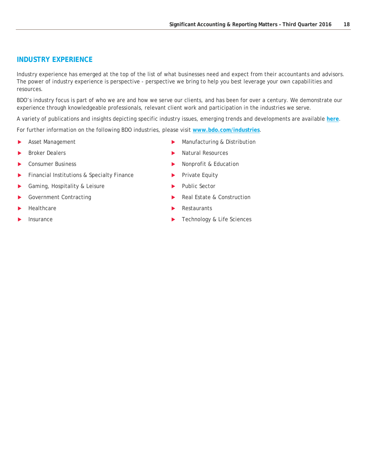#### **INDUSTRY EXPERIENCE**

Industry experience has emerged at the top of the list of what businesses need and expect from their accountants and advisors. The power of industry experience is perspective - perspective we bring to help you best leverage your own capabilities and resources.

BDO's industry focus is part of who we are and how we serve our clients, and has been for over a century. We demonstrate our experience through knowledgeable professionals, relevant client work and participation in the industries we serve.

A variety of publications and insights depicting specific industry issues, emerging trends and developments are available **[here](https://www.bdo.com/insights/advanced-search?filter=1&cat=875)**.

For further information on the following BDO industries, please visit **[www.bdo.com/industries](http://www.bdo.com/industries)**.

- Asset Management
- Broker Dealers
- Consumer Business
- Financial Institutions & Specialty Finance
- Gaming, Hospitality & Leisure
- Government Contracting
- Healthcare
- Insurance
- **Manufacturing & Distribution**
- Natural Resources
- Nonprofit & Education
- Private Equity
- Public Sector
- Real Estate & Construction
- Restaurants
- Technology & Life Sciences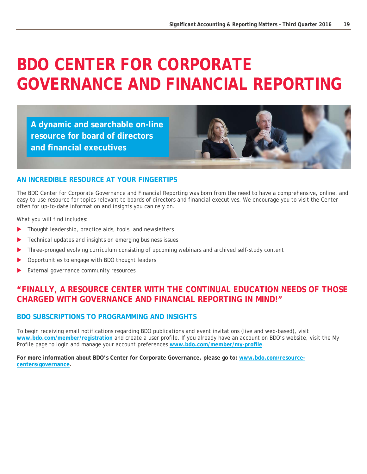## <span id="page-18-0"></span>**BDO CENTER FOR CORPORATE GOVERNANCE AND FINANCIAL REPORTING**

**A dynamic and searchable on-line resource for board of directors and financial executives**



#### **AN INCREDIBLE RESOURCE AT YOUR FINGERTIPS**

The BDO Center for Corporate Governance and Financial Reporting was born from the need to have a comprehensive, online, and easy-to-use resource for topics relevant to boards of directors and financial executives. We encourage you to visit the Center often for up-to-date information and insights you can rely on.

What you will find includes:

- Thought leadership, practice aids, tools, and newsletters
- Technical updates and insights on emerging business issues
- **Three-pronged evolving curriculum consisting of upcoming webinars and archived self-study content**
- Opportunities to engage with BDO thought leaders
- External governance community resources

### **"FINALLY, A RESOURCE CENTER WITH THE CONTINUAL EDUCATION NEEDS OF THOSE CHARGED WITH GOVERNANCE AND FINANCIAL REPORTING IN MIND!"**

#### **BDO SUBSCRIPTIONS TO PROGRAMMING AND INSIGHTS**

To begin receiving email notifications regarding BDO publications and event invitations (live and web-based), visit **[www.bdo.com/member/registration](https://www.bdo.com/member/registration)** and create a user profile. If you already have an account on BDO's website, visit the My Profile page to login and manage your account preferences **[www.bdo.com/member/my-profile](https://www.bdo.com/member/my-profile)**.

**For more information about BDO's Center for Corporate Governance, please go to: [www.bdo.com/resource](http://www.bdo.com/resource-centers/governance)[centers/governance.](http://www.bdo.com/resource-centers/governance)**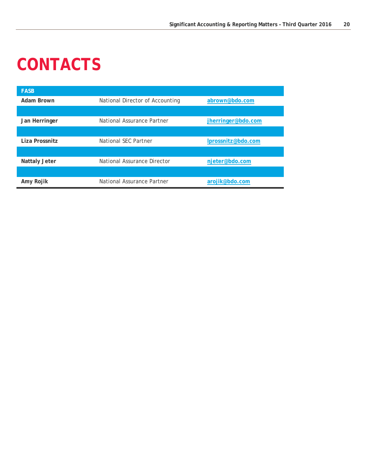# <span id="page-19-0"></span>**CONTACTS**

| <b>FASB</b>          |                                 |                    |
|----------------------|---------------------------------|--------------------|
| Adam Brown           | National Director of Accounting | abrown@bdo.com     |
|                      |                                 |                    |
| Jan Herringer        | National Assurance Partner      | jherringer@bdo.com |
|                      |                                 |                    |
| Liza Prossnitz       | National SEC Partner            | Iprossnitz@bdo.com |
|                      |                                 |                    |
| <b>Nattaly Jeter</b> | National Assurance Director     | njeter@bdo.com     |
|                      |                                 |                    |
| Amy Rojik            | National Assurance Partner      | arojik@bdo.com     |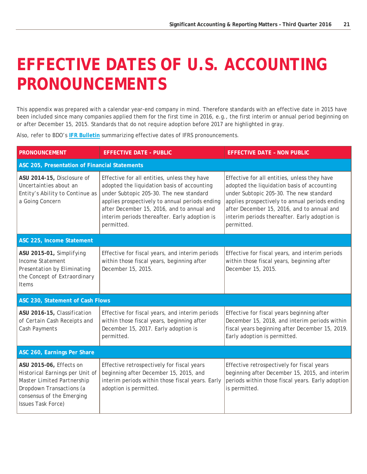## <span id="page-20-0"></span>**EFFECTIVE DATES OF U.S. ACCOUNTING PRONOUNCEMENTS**

This appendix was prepared with a calendar year-end company in mind. Therefore standards with an effective date in 2015 have been included since many companies applied them for the first time in 2016, e.g., the first interim or annual period beginning on or after December 15, 2015. Standards that do not require adoption before 2017 are highlighted in gray.

Also, refer to BDO's **[IFR Bulletin](https://www.bdo.global/getattachment/Services/Audit-Accounting/IFRS/IFR-bulletins/IFRB-2016-02.pdf.aspx?lang=en-GB)** summarizing effective dates of IFRS pronouncements.

| <b>PRONOUNCEMENT</b>                                                                                                                                                    | <b>EFFECTIVE DATE - PUBLIC</b>                                                                                                                                                                                                                                                                        | <b>EFFECTIVE DATE - NON PUBLIC</b>                                                                                                                                                                                                                                                                    |
|-------------------------------------------------------------------------------------------------------------------------------------------------------------------------|-------------------------------------------------------------------------------------------------------------------------------------------------------------------------------------------------------------------------------------------------------------------------------------------------------|-------------------------------------------------------------------------------------------------------------------------------------------------------------------------------------------------------------------------------------------------------------------------------------------------------|
| ASC 205, Presentation of Financial Statements                                                                                                                           |                                                                                                                                                                                                                                                                                                       |                                                                                                                                                                                                                                                                                                       |
| ASU 2014-15, Disclosure of<br>Uncertainties about an<br>Entity's Ability to Continue as<br>a Going Concern                                                              | Effective for all entities, unless they have<br>adopted the liquidation basis of accounting<br>under Subtopic 205-30. The new standard<br>applies prospectively to annual periods ending<br>after December 15, 2016, and to annual and<br>interim periods thereafter. Early adoption is<br>permitted. | Effective for all entities, unless they have<br>adopted the liquidation basis of accounting<br>under Subtopic 205-30. The new standard<br>applies prospectively to annual periods ending<br>after December 15, 2016, and to annual and<br>interim periods thereafter. Early adoption is<br>permitted. |
| ASC 225, Income Statement                                                                                                                                               |                                                                                                                                                                                                                                                                                                       |                                                                                                                                                                                                                                                                                                       |
| ASU 2015-01, Simplifying<br><b>Income Statement</b><br>Presentation by Eliminating<br>the Concept of Extraordinary<br><b>Items</b>                                      | Effective for fiscal years, and interim periods<br>within those fiscal years, beginning after<br>December 15, 2015.                                                                                                                                                                                   | Effective for fiscal years, and interim periods<br>within those fiscal years, beginning after<br>December 15, 2015.                                                                                                                                                                                   |
| ASC 230, Statement of Cash Flows                                                                                                                                        |                                                                                                                                                                                                                                                                                                       |                                                                                                                                                                                                                                                                                                       |
| ASU 2016-15, Classification<br>of Certain Cash Receipts and<br>Cash Payments                                                                                            | Effective for fiscal years, and interim periods<br>within those fiscal years, beginning after<br>December 15, 2017. Early adoption is<br>permitted.                                                                                                                                                   | Effective for fiscal years beginning after<br>December 15, 2018, and interim periods within<br>fiscal years beginning after December 15, 2019.<br>Early adoption is permitted.                                                                                                                        |
| ASC 260, Earnings Per Share                                                                                                                                             |                                                                                                                                                                                                                                                                                                       |                                                                                                                                                                                                                                                                                                       |
| ASU 2015-06, Effects on<br>Historical Earnings per Unit of<br>Master Limited Partnership<br>Dropdown Transactions (a<br>consensus of the Emerging<br>Issues Task Force) | Effective retrospectively for fiscal years<br>beginning after December 15, 2015, and<br>interim periods within those fiscal years. Early<br>adoption is permitted.                                                                                                                                    | Effective retrospectively for fiscal years<br>beginning after December 15, 2015, and interim<br>periods within those fiscal years. Early adoption<br>is permitted.                                                                                                                                    |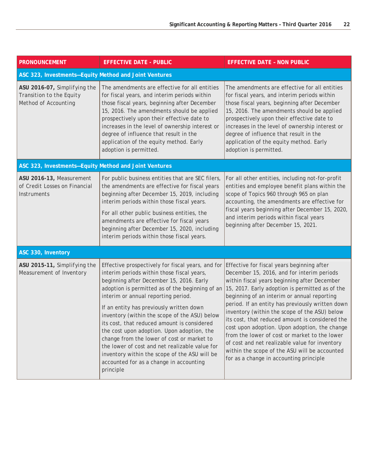| <b>PRONOUNCEMENT</b>                                                                    | <b>EFFECTIVE DATE - PUBLIC</b>                                                                                                                                                                                                                                                                                                                                                                                                                                                                                                                                                                                                           | <b>EFFECTIVE DATE - NON PUBLIC</b>                                                                                                                                                                                                                                                                                                                                                                                                                                                                                                                                                                                                                 |  |
|-----------------------------------------------------------------------------------------|------------------------------------------------------------------------------------------------------------------------------------------------------------------------------------------------------------------------------------------------------------------------------------------------------------------------------------------------------------------------------------------------------------------------------------------------------------------------------------------------------------------------------------------------------------------------------------------------------------------------------------------|----------------------------------------------------------------------------------------------------------------------------------------------------------------------------------------------------------------------------------------------------------------------------------------------------------------------------------------------------------------------------------------------------------------------------------------------------------------------------------------------------------------------------------------------------------------------------------------------------------------------------------------------------|--|
| ASC 323, Investments-Equity Method and Joint Ventures                                   |                                                                                                                                                                                                                                                                                                                                                                                                                                                                                                                                                                                                                                          |                                                                                                                                                                                                                                                                                                                                                                                                                                                                                                                                                                                                                                                    |  |
| ASU 2016-07, Simplifying the<br>Transition to the Equity<br><b>Method of Accounting</b> | The amendments are effective for all entities<br>for fiscal years, and interim periods within<br>those fiscal years, beginning after December<br>15, 2016. The amendments should be applied<br>prospectively upon their effective date to<br>increases in the level of ownership interest or<br>degree of influence that result in the<br>application of the equity method. Early<br>adoption is permitted.                                                                                                                                                                                                                              | The amendments are effective for all entities<br>for fiscal years, and interim periods within<br>those fiscal years, beginning after December<br>15, 2016. The amendments should be applied<br>prospectively upon their effective date to<br>increases in the level of ownership interest or<br>degree of influence that result in the<br>application of the equity method. Early<br>adoption is permitted.                                                                                                                                                                                                                                        |  |
| ASC 323, Investments-Equity Method and Joint Ventures                                   |                                                                                                                                                                                                                                                                                                                                                                                                                                                                                                                                                                                                                                          |                                                                                                                                                                                                                                                                                                                                                                                                                                                                                                                                                                                                                                                    |  |
| ASU 2016-13, Measurement<br>of Credit Losses on Financial<br><b>Instruments</b>         | For public business entities that are SEC filers,<br>the amendments are effective for fiscal years<br>beginning after December 15, 2019, including<br>interim periods within those fiscal years.<br>For all other public business entities, the<br>amendments are effective for fiscal years<br>beginning after December 15, 2020, including<br>interim periods within those fiscal years.                                                                                                                                                                                                                                               | For all other entities, including not-for-profit<br>entities and employee benefit plans within the<br>scope of Topics 960 through 965 on plan<br>accounting, the amendments are effective for<br>fiscal years beginning after December 15, 2020,<br>and interim periods within fiscal years<br>beginning after December 15, 2021.                                                                                                                                                                                                                                                                                                                  |  |
| ASC 330, Inventory                                                                      |                                                                                                                                                                                                                                                                                                                                                                                                                                                                                                                                                                                                                                          |                                                                                                                                                                                                                                                                                                                                                                                                                                                                                                                                                                                                                                                    |  |
| ASU 2015-11, Simplifying the<br>Measurement of Inventory                                | Effective prospectively for fiscal years, and for<br>interim periods within those fiscal years,<br>beginning after December 15, 2016. Early<br>adoption is permitted as of the beginning of an<br>interim or annual reporting period.<br>If an entity has previously written down<br>inventory (within the scope of the ASU) below<br>its cost, that reduced amount is considered<br>the cost upon adoption. Upon adoption, the<br>change from the lower of cost or market to<br>the lower of cost and net realizable value for<br>inventory within the scope of the ASU will be<br>accounted for as a change in accounting<br>principle | Effective for fiscal years beginning after<br>December 15, 2016, and for interim periods<br>within fiscal years beginning after December<br>15, 2017. Early adoption is permitted as of the<br>beginning of an interim or annual reporting<br>period. If an entity has previously written down<br>inventory (within the scope of the ASU) below<br>its cost, that reduced amount is considered the<br>cost upon adoption. Upon adoption, the change<br>from the lower of cost or market to the lower<br>of cost and net realizable value for inventory<br>within the scope of the ASU will be accounted<br>for as a change in accounting principle |  |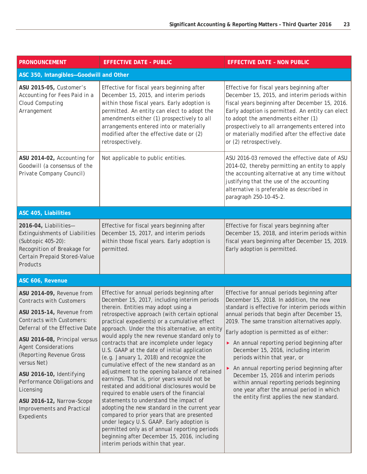| <b>PRONOUNCEMENT</b>                                                                                                                                                                                                                                                                                                                                                                                                 | <b>EFFECTIVE DATE - PUBLIC</b>                                                                                                                                                                                                                                                                                                                                                                                                                                                                                                                                                                                                                                                                                                                                                                                                                                                                                                                                                                                                                            | <b>EFFECTIVE DATE - NON PUBLIC</b>                                                                                                                                                                                                                                                                                                                                                                                                                                                                                                                                                                                                             |  |
|----------------------------------------------------------------------------------------------------------------------------------------------------------------------------------------------------------------------------------------------------------------------------------------------------------------------------------------------------------------------------------------------------------------------|-----------------------------------------------------------------------------------------------------------------------------------------------------------------------------------------------------------------------------------------------------------------------------------------------------------------------------------------------------------------------------------------------------------------------------------------------------------------------------------------------------------------------------------------------------------------------------------------------------------------------------------------------------------------------------------------------------------------------------------------------------------------------------------------------------------------------------------------------------------------------------------------------------------------------------------------------------------------------------------------------------------------------------------------------------------|------------------------------------------------------------------------------------------------------------------------------------------------------------------------------------------------------------------------------------------------------------------------------------------------------------------------------------------------------------------------------------------------------------------------------------------------------------------------------------------------------------------------------------------------------------------------------------------------------------------------------------------------|--|
| ASC 350, Intangibles-Goodwill and Other                                                                                                                                                                                                                                                                                                                                                                              |                                                                                                                                                                                                                                                                                                                                                                                                                                                                                                                                                                                                                                                                                                                                                                                                                                                                                                                                                                                                                                                           |                                                                                                                                                                                                                                                                                                                                                                                                                                                                                                                                                                                                                                                |  |
| ASU 2015-05, Customer's<br>Accounting for Fees Paid in a<br>Cloud Computing<br>Arrangement                                                                                                                                                                                                                                                                                                                           | Effective for fiscal years beginning after<br>December 15, 2015, and interim periods<br>within those fiscal years. Early adoption is<br>permitted. An entity can elect to adopt the<br>amendments either (1) prospectively to all<br>arrangements entered into or materially<br>modified after the effective date or (2)<br>retrospectively.                                                                                                                                                                                                                                                                                                                                                                                                                                                                                                                                                                                                                                                                                                              | Effective for fiscal years beginning after<br>December 15, 2015, and interim periods within<br>fiscal years beginning after December 15, 2016.<br>Early adoption is permitted. An entity can elect<br>to adopt the amendments either (1)<br>prospectively to all arrangements entered into<br>or materially modified after the effective date<br>or (2) retrospectively.                                                                                                                                                                                                                                                                       |  |
| ASU 2014-02, Accounting for<br>Goodwill (a consensus of the<br>Private Company Council)                                                                                                                                                                                                                                                                                                                              | Not applicable to public entities.                                                                                                                                                                                                                                                                                                                                                                                                                                                                                                                                                                                                                                                                                                                                                                                                                                                                                                                                                                                                                        | ASU 2016-03 removed the effective date of ASU<br>2014-02, thereby permitting an entity to apply<br>the accounting alternative at any time without<br>justifying that the use of the accounting<br>alternative is preferable as described in<br>paragraph 250-10-45-2.                                                                                                                                                                                                                                                                                                                                                                          |  |
| ASC 405, Liabilities                                                                                                                                                                                                                                                                                                                                                                                                 |                                                                                                                                                                                                                                                                                                                                                                                                                                                                                                                                                                                                                                                                                                                                                                                                                                                                                                                                                                                                                                                           |                                                                                                                                                                                                                                                                                                                                                                                                                                                                                                                                                                                                                                                |  |
| 2016-04, Liabilities-<br><b>Extinguishments of Liabilities</b><br>(Subtopic 405-20):<br>Recognition of Breakage for<br>Certain Prepaid Stored-Value<br>Products                                                                                                                                                                                                                                                      | Effective for fiscal years beginning after<br>December 15, 2017, and interim periods<br>within those fiscal years. Early adoption is<br>permitted.                                                                                                                                                                                                                                                                                                                                                                                                                                                                                                                                                                                                                                                                                                                                                                                                                                                                                                        | Effective for fiscal years beginning after<br>December 15, 2018, and interim periods within<br>fiscal years beginning after December 15, 2019.<br>Early adoption is permitted.                                                                                                                                                                                                                                                                                                                                                                                                                                                                 |  |
| ASC 606, Revenue                                                                                                                                                                                                                                                                                                                                                                                                     |                                                                                                                                                                                                                                                                                                                                                                                                                                                                                                                                                                                                                                                                                                                                                                                                                                                                                                                                                                                                                                                           |                                                                                                                                                                                                                                                                                                                                                                                                                                                                                                                                                                                                                                                |  |
| ASU 2014-09, Revenue from<br><b>Contracts with Customers</b><br>ASU 2015-14, Revenue from<br>Contracts with Customers:<br>Deferral of the Effective Date<br>ASU 2016-08, Principal versus<br><b>Agent Considerations</b><br>(Reporting Revenue Gross<br>versus Net)<br>ASU 2016-10, Identifying<br>Performance Obligations and<br>Licensing<br>ASU 2016-12, Narrow-Scope<br>Improvements and Practical<br>Expedients | Effective for annual periods beginning after<br>December 15, 2017, including interim periods<br>therein. Entities may adopt using a<br>retrospective approach (with certain optional<br>practical expedients) or a cumulative effect<br>approach. Under the this alternative, an entity<br>would apply the new revenue standard only to<br>contracts that are incomplete under legacy<br>U.S. GAAP at the date of initial application<br>(e.g. January 1, 2018) and recognize the<br>cumulative effect of the new standard as an<br>adjustment to the opening balance of retained<br>earnings. That is, prior years would not be<br>restated and additional disclosures would be<br>required to enable users of the financial<br>statements to understand the impact of<br>adopting the new standard in the current year<br>compared to prior years that are presented<br>under legacy U.S. GAAP. Early adoption is<br>permitted only as of annual reporting periods<br>beginning after December 15, 2016, including<br>interim periods within that year. | Effective for annual periods beginning after<br>December 15, 2018. In addition, the new<br>standard is effective for interim periods within<br>annual periods that begin after December 15,<br>2019. The same transition alternatives apply.<br>Early adoption is permitted as of either:<br>An annual reporting period beginning after<br>December 15, 2016, including interim<br>periods within that year, or<br>An annual reporting period beginning after<br>December 15, 2016 and interim periods<br>within annual reporting periods beginning<br>one year after the annual period in which<br>the entity first applies the new standard. |  |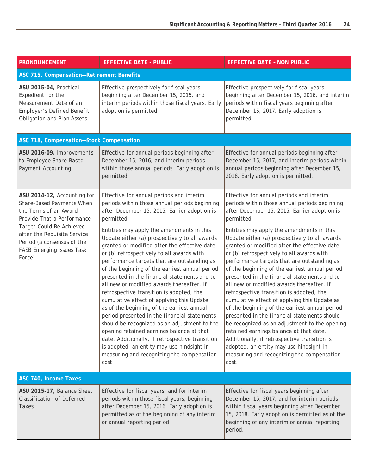| <b>PRONOUNCEMENT</b>                                                                                                                            | <b>EFFECTIVE DATE - PUBLIC</b>                                                                                                                                                                                                                                                                                                                                                                                                                                                                                                                                                                                                                                                                                                                                                                                                    | <b>EFFECTIVE DATE - NON PUBLIC</b>                                                                                                                                                                                                                                                                                                                                                                                                                                                                                                                                                                                                                                                                                                                                                                                                |  |
|-------------------------------------------------------------------------------------------------------------------------------------------------|-----------------------------------------------------------------------------------------------------------------------------------------------------------------------------------------------------------------------------------------------------------------------------------------------------------------------------------------------------------------------------------------------------------------------------------------------------------------------------------------------------------------------------------------------------------------------------------------------------------------------------------------------------------------------------------------------------------------------------------------------------------------------------------------------------------------------------------|-----------------------------------------------------------------------------------------------------------------------------------------------------------------------------------------------------------------------------------------------------------------------------------------------------------------------------------------------------------------------------------------------------------------------------------------------------------------------------------------------------------------------------------------------------------------------------------------------------------------------------------------------------------------------------------------------------------------------------------------------------------------------------------------------------------------------------------|--|
| ASC 715, Compensation-Retirement Benefits                                                                                                       |                                                                                                                                                                                                                                                                                                                                                                                                                                                                                                                                                                                                                                                                                                                                                                                                                                   |                                                                                                                                                                                                                                                                                                                                                                                                                                                                                                                                                                                                                                                                                                                                                                                                                                   |  |
| ASU 2015-04, Practical<br>Expedient for the<br>Measurement Date of an<br><b>Employer's Defined Benefit</b><br><b>Obligation and Plan Assets</b> | Effective prospectively for fiscal years<br>beginning after December 15, 2015, and<br>interim periods within those fiscal years. Early<br>adoption is permitted.                                                                                                                                                                                                                                                                                                                                                                                                                                                                                                                                                                                                                                                                  | Effective prospectively for fiscal years<br>beginning after December 15, 2016, and interim<br>periods within fiscal years beginning after<br>December 15, 2017. Early adoption is<br>permitted.                                                                                                                                                                                                                                                                                                                                                                                                                                                                                                                                                                                                                                   |  |
| ASC 718, Compensation-Stock Compensation                                                                                                        |                                                                                                                                                                                                                                                                                                                                                                                                                                                                                                                                                                                                                                                                                                                                                                                                                                   |                                                                                                                                                                                                                                                                                                                                                                                                                                                                                                                                                                                                                                                                                                                                                                                                                                   |  |
| ASU 2016-09, Improvements<br>to Employee Share-Based<br><b>Payment Accounting</b>                                                               | Effective for annual periods beginning after<br>December 15, 2016, and interim periods<br>within those annual periods. Early adoption is<br>permitted.                                                                                                                                                                                                                                                                                                                                                                                                                                                                                                                                                                                                                                                                            | Effective for annual periods beginning after<br>December 15, 2017, and interim periods within<br>annual periods beginning after December 15,<br>2018. Early adoption is permitted.                                                                                                                                                                                                                                                                                                                                                                                                                                                                                                                                                                                                                                                |  |
| ASU 2014-12, Accounting for<br>Share-Based Payments When<br>the Terms of an Award<br>Provide That a Performance                                 | Effective for annual periods and interim<br>periods within those annual periods beginning<br>after December 15, 2015. Earlier adoption is<br>permitted.                                                                                                                                                                                                                                                                                                                                                                                                                                                                                                                                                                                                                                                                           | Effective for annual periods and interim<br>periods within those annual periods beginning<br>after December 15, 2015. Earlier adoption is<br>permitted.                                                                                                                                                                                                                                                                                                                                                                                                                                                                                                                                                                                                                                                                           |  |
| Target Could Be Achieved<br>after the Requisite Service<br>Period (a consensus of the<br><b>FASB Emerging Issues Task</b><br>Force)             | Entities may apply the amendments in this<br>Update either (a) prospectively to all awards<br>granted or modified after the effective date<br>or (b) retrospectively to all awards with<br>performance targets that are outstanding as<br>of the beginning of the earliest annual period<br>presented in the financial statements and to<br>all new or modified awards thereafter. If<br>retrospective transition is adopted, the<br>cumulative effect of applying this Update<br>as of the beginning of the earliest annual<br>period presented in the financial statements<br>should be recognized as an adjustment to the<br>opening retained earnings balance at that<br>date. Additionally, if retrospective transition<br>is adopted, an entity may use hindsight in<br>measuring and recognizing the compensation<br>cost. | Entities may apply the amendments in this<br>Update either (a) prospectively to all awards<br>granted or modified after the effective date<br>or (b) retrospectively to all awards with<br>performance targets that are outstanding as<br>of the beginning of the earliest annual period<br>presented in the financial statements and to<br>all new or modified awards thereafter. If<br>retrospective transition is adopted, the<br>cumulative effect of applying this Update as<br>of the beginning of the earliest annual period<br>presented in the financial statements should<br>be recognized as an adjustment to the opening<br>retained earnings balance at that date.<br>Additionally, if retrospective transition is<br>adopted, an entity may use hindsight in<br>measuring and recognizing the compensation<br>cost. |  |
| ASC 740, Income Taxes                                                                                                                           |                                                                                                                                                                                                                                                                                                                                                                                                                                                                                                                                                                                                                                                                                                                                                                                                                                   |                                                                                                                                                                                                                                                                                                                                                                                                                                                                                                                                                                                                                                                                                                                                                                                                                                   |  |
| ASU 2015-17, Balance Sheet<br>Classification of Deferred<br>Taxes                                                                               | Effective for fiscal years, and for interim<br>periods within those fiscal years, beginning<br>after December 15, 2016. Early adoption is<br>permitted as of the beginning of any interim<br>or annual reporting period.                                                                                                                                                                                                                                                                                                                                                                                                                                                                                                                                                                                                          | Effective for fiscal years beginning after<br>December 15, 2017, and for interim periods<br>within fiscal years beginning after December<br>15, 2018. Early adoption is permitted as of the<br>beginning of any interim or annual reporting<br>period.                                                                                                                                                                                                                                                                                                                                                                                                                                                                                                                                                                            |  |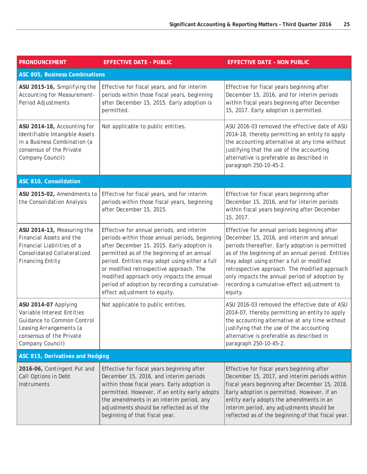| <b>PRONOUNCEMENT</b>                                                                                                                                        | <b>EFFECTIVE DATE - PUBLIC</b>                                                                                                                                                                                                                                                                                                                                                                                     | <b>EFFECTIVE DATE - NON PUBLIC</b>                                                                                                                                                                                                                                                                                                                                                                         |
|-------------------------------------------------------------------------------------------------------------------------------------------------------------|--------------------------------------------------------------------------------------------------------------------------------------------------------------------------------------------------------------------------------------------------------------------------------------------------------------------------------------------------------------------------------------------------------------------|------------------------------------------------------------------------------------------------------------------------------------------------------------------------------------------------------------------------------------------------------------------------------------------------------------------------------------------------------------------------------------------------------------|
| ASC 805, Business Combinations                                                                                                                              |                                                                                                                                                                                                                                                                                                                                                                                                                    |                                                                                                                                                                                                                                                                                                                                                                                                            |
| ASU 2015-16, Simplifying the<br>Accounting for Measurement-<br>Period Adjustments                                                                           | Effective for fiscal years, and for interim<br>periods within those fiscal years, beginning<br>after December 15, 2015. Early adoption is<br>permitted.                                                                                                                                                                                                                                                            | Effective for fiscal years beginning after<br>December 15, 2016, and for interim periods<br>within fiscal years beginning after December<br>15, 2017. Early adoption is permitted.                                                                                                                                                                                                                         |
| ASU 2014-18, Accounting for<br>Identifiable Intangible Assets<br>in a Business Combination (a<br>consensus of the Private<br>Company Council)               | Not applicable to public entities.                                                                                                                                                                                                                                                                                                                                                                                 | ASU 2016-03 removed the effective date of ASU<br>2014-18, thereby permitting an entity to apply<br>the accounting alternative at any time without<br>justifying that the use of the accounting<br>alternative is preferable as described in<br>paragraph 250-10-45-2.                                                                                                                                      |
| ASC 810, Consolidation                                                                                                                                      |                                                                                                                                                                                                                                                                                                                                                                                                                    |                                                                                                                                                                                                                                                                                                                                                                                                            |
| ASU 2015-02, Amendments to<br>the Consolidation Analysis                                                                                                    | Effective for fiscal years, and for interim<br>periods within those fiscal years, beginning<br>after December 15, 2015.                                                                                                                                                                                                                                                                                            | Effective for fiscal years beginning after<br>December 15, 2016, and for interim periods<br>within fiscal years beginning after December<br>15, 2017.                                                                                                                                                                                                                                                      |
| ASU 2014-13, Measuring the<br>Financial Assets and the<br>Financial Liabilities of a<br>Consolidated Collateralized<br><b>Financing Entity</b>              | Effective for annual periods, and interim<br>periods within those annual periods, beginning<br>after December 15, 2015. Early adoption is<br>permitted as of the beginning of an annual<br>period. Entities may adopt using either a full<br>or modified retrospective approach. The<br>modified approach only impacts the annual<br>period of adoption by recording a cumulative-<br>effect adjustment to equity. | Effective for annual periods beginning after<br>December 15, 2016, and interim and annual<br>periods thereafter. Early adoption is permitted<br>as of the beginning of an annual period. Entities<br>may adopt using either a full or modified<br>retrospective approach. The modified approach<br>only impacts the annual period of adoption by<br>recording a cumulative-effect adjustment to<br>equity. |
| ASU 2014-07 Applying<br>Variable Interest Entities<br>Guidance to Common Control<br>Leasing Arrangements (a<br>consensus of the Private<br>Company Council) | Not applicable to public entities.                                                                                                                                                                                                                                                                                                                                                                                 | ASU 2016-03 removed the effective date of ASU<br>2014-07, thereby permitting an entity to apply<br>the accounting alternative at any time without<br>justifying that the use of the accounting<br>alternative is preferable as described in<br>paragraph 250-10-45-2.                                                                                                                                      |
| ASC 815, Derivatives and Hedging                                                                                                                            |                                                                                                                                                                                                                                                                                                                                                                                                                    |                                                                                                                                                                                                                                                                                                                                                                                                            |
| 2016-06, Contingent Put and<br>Call Options in Debt<br>Instruments                                                                                          | Effective for fiscal years beginning after<br>December 15, 2016, and interim periods<br>within those fiscal years. Early adoption is<br>permitted. However, if an entity early adopts<br>the amendments in an interim period, any<br>adjustments should be reflected as of the<br>beginning of that fiscal year.                                                                                                   | Effective for fiscal years beginning after<br>December 15, 2017, and interim periods within<br>fiscal years beginning after December 15, 2018.<br>Early adoption is permitted. However, if an<br>entity early adopts the amendments in an<br>interim period, any adjustments should be<br>reflected as of the beginning of that fiscal year.                                                               |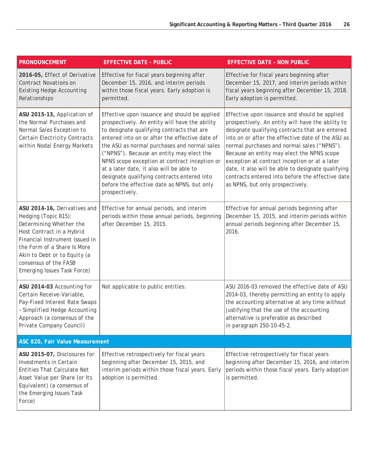| <b>PRONOUNCEMENT</b>                                                                                                                                                                                                                                                  | <b>EFFECTIVE DATE - PUBLIC</b>                                                                                                                                                                                                                                                                                                                                                                                                                                                                            | <b>EFFECTIVE DATE - NON PUBLIC</b>                                                                                                                                                                                                                                                                                                                                                                                                                                                                     |
|-----------------------------------------------------------------------------------------------------------------------------------------------------------------------------------------------------------------------------------------------------------------------|-----------------------------------------------------------------------------------------------------------------------------------------------------------------------------------------------------------------------------------------------------------------------------------------------------------------------------------------------------------------------------------------------------------------------------------------------------------------------------------------------------------|--------------------------------------------------------------------------------------------------------------------------------------------------------------------------------------------------------------------------------------------------------------------------------------------------------------------------------------------------------------------------------------------------------------------------------------------------------------------------------------------------------|
| 2016-05, Effect of Derivative<br>Contract Novations on<br><b>Existing Hedge Accounting</b><br>Relationships                                                                                                                                                           | Effective for fiscal years beginning after<br>December 15, 2016, and interim periods<br>within those fiscal years. Early adoption is<br>permitted.                                                                                                                                                                                                                                                                                                                                                        | Effective for fiscal years beginning after<br>December 15, 2017, and interim periods within<br>fiscal years beginning after December 15, 2018.<br>Early adoption is permitted.                                                                                                                                                                                                                                                                                                                         |
| ASU 2015-13, Application of<br>the Normal Purchases and<br>Normal Sales Exception to<br><b>Certain Electricity Contracts</b><br>within Nodal Energy Markets                                                                                                           | Effective upon issuance and should be applied<br>prospectively. An entity will have the ability<br>to designate qualifying contracts that are<br>entered into on or after the effective date of<br>the ASU as normal purchases and normal sales<br>("NPNS"). Because an entity may elect the<br>NPNS scope exception at contract inception or<br>at a later date, it also will be able to<br>designate qualifying contracts entered into<br>before the effective date as NPNS, but only<br>prospectively. | Effective upon issuance and should be applied<br>prospectively. An entity will have the ability to<br>designate qualifying contracts that are entered<br>into on or after the effective date of the ASU as<br>normal purchases and normal sales ("NPNS").<br>Because an entity may elect the NPNS scope<br>exception at contract inception or at a later<br>date, it also will be able to designate qualifying<br>contracts entered into before the effective date<br>as NPNS, but only prospectively. |
| ASU 2014-16, Derivatives and<br>Hedging (Topic 815):<br>Determining Whether the<br>Host Contract in a Hybrid<br>Financial Instrument Issued in<br>the Form of a Share Is More<br>Akin to Debt or to Equity (a<br>consensus of the FASB<br>Emerging Issues Task Force) | Effective for annual periods, and interim<br>periods within those annual periods, beginning<br>after December 15, 2015.                                                                                                                                                                                                                                                                                                                                                                                   | Effective for annual periods beginning after<br>December 15, 2015, and interim periods within<br>annual periods beginning after December 15,<br>2016.                                                                                                                                                                                                                                                                                                                                                  |
| ASU 2014-03 Accounting for<br>Certain Receive-Variable,<br>Pay-Fixed Interest Rate Swaps<br>- Simplified Hedge Accounting<br>Approach (a consensus of the<br>Private Company Council)                                                                                 | Not applicable to public entities.                                                                                                                                                                                                                                                                                                                                                                                                                                                                        | ASU 2016-03 removed the effective date of ASU<br>2014-03, thereby permitting an entity to apply<br>the accounting alternative at any time without<br>justifying that the use of the accounting<br>alternative is preferable as described<br>in paragraph 250-10-45-2.                                                                                                                                                                                                                                  |
| ASC 820, Fair Value Measurement                                                                                                                                                                                                                                       |                                                                                                                                                                                                                                                                                                                                                                                                                                                                                                           |                                                                                                                                                                                                                                                                                                                                                                                                                                                                                                        |
| ASU 2015-07, Disclosures for<br>Investments in Certain<br>Entities That Calculate Net<br>Asset Value per Share (or Its<br>Equivalent) (a consensus of<br>the Emerging Issues Task<br>Force)                                                                           | Effective retrospectively for fiscal years<br>beginning after December 15, 2015, and<br>interim periods within those fiscal years. Early<br>adoption is permitted.                                                                                                                                                                                                                                                                                                                                        | Effective retrospectively for fiscal years<br>beginning after December 15, 2016, and interim<br>periods within those fiscal years. Early adoption<br>is permitted.                                                                                                                                                                                                                                                                                                                                     |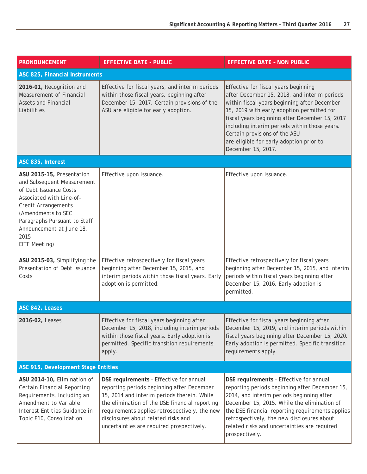| <b>PRONOUNCEMENT</b>                                                                                                                                                                                                                                          | <b>EFFECTIVE DATE - PUBLIC</b>                                                                                                                                                                                                                                                                                              | <b>EFFECTIVE DATE - NON PUBLIC</b>                                                                                                                                                                                                                                                                                                                                                       |
|---------------------------------------------------------------------------------------------------------------------------------------------------------------------------------------------------------------------------------------------------------------|-----------------------------------------------------------------------------------------------------------------------------------------------------------------------------------------------------------------------------------------------------------------------------------------------------------------------------|------------------------------------------------------------------------------------------------------------------------------------------------------------------------------------------------------------------------------------------------------------------------------------------------------------------------------------------------------------------------------------------|
| ASC 825, Financial Instruments                                                                                                                                                                                                                                |                                                                                                                                                                                                                                                                                                                             |                                                                                                                                                                                                                                                                                                                                                                                          |
| 2016-01, Recognition and<br>Measurement of Financial<br><b>Assets and Financial</b><br>Liabilities                                                                                                                                                            | Effective for fiscal years, and interim periods<br>within those fiscal years, beginning after<br>December 15, 2017. Certain provisions of the<br>ASU are eligible for early adoption.                                                                                                                                       | Effective for fiscal years beginning<br>after December 15, 2018, and interim periods<br>within fiscal years beginning after December<br>15, 2019 with early adoption permitted for<br>fiscal years beginning after December 15, 2017<br>including interim periods within those years.<br>Certain provisions of the ASU<br>are eligible for early adoption prior to<br>December 15, 2017. |
| ASC 835, Interest                                                                                                                                                                                                                                             |                                                                                                                                                                                                                                                                                                                             |                                                                                                                                                                                                                                                                                                                                                                                          |
| ASU 2015-15, Presentation<br>and Subsequent Measurement<br>of Debt Issuance Costs<br>Associated with Line-of-<br><b>Credit Arrangements</b><br>(Amendments to SEC<br>Paragraphs Pursuant to Staff<br>Announcement at June 18,<br>2015<br><b>EITF Meeting)</b> | Effective upon issuance.                                                                                                                                                                                                                                                                                                    | Effective upon issuance.                                                                                                                                                                                                                                                                                                                                                                 |
| ASU 2015-03, Simplifying the<br>Presentation of Debt Issuance<br>Costs                                                                                                                                                                                        | Effective retrospectively for fiscal years<br>beginning after December 15, 2015, and<br>interim periods within those fiscal years. Early<br>adoption is permitted.                                                                                                                                                          | Effective retrospectively for fiscal years<br>beginning after December 15, 2015, and interim<br>periods within fiscal years beginning after<br>December 15, 2016. Early adoption is<br>permitted.                                                                                                                                                                                        |
| ASC 842, Leases                                                                                                                                                                                                                                               |                                                                                                                                                                                                                                                                                                                             |                                                                                                                                                                                                                                                                                                                                                                                          |
| 2016-02, Leases                                                                                                                                                                                                                                               | Effective for fiscal years beginning after<br>December 15, 2018, including interim periods<br>within those fiscal years. Early adoption is<br>permitted. Specific transition requirements<br>apply.                                                                                                                         | Effective for fiscal years beginning after<br>December 15, 2019, and interim periods within<br>fiscal years beginning after December 15, 2020.<br>Early adoption is permitted. Specific transition<br>requirements apply.                                                                                                                                                                |
| ASC 915, Development Stage Entities                                                                                                                                                                                                                           |                                                                                                                                                                                                                                                                                                                             |                                                                                                                                                                                                                                                                                                                                                                                          |
| ASU 2014-10, Elimination of<br>Certain Financial Reporting<br>Requirements, Including an<br>Amendment to Variable<br>Interest Entities Guidance in<br>Topic 810, Consolidation                                                                                | DSE requirements - Effective for annual<br>reporting periods beginning after December<br>15, 2014 and interim periods therein. While<br>the elimination of the DSE financial reporting<br>requirements applies retrospectively, the new<br>disclosures about related risks and<br>uncertainties are required prospectively. | DSE requirements - Effective for annual<br>reporting periods beginning after December 15,<br>2014, and interim periods beginning after<br>December 15, 2015. While the elimination of<br>the DSE financial reporting requirements applies<br>retrospectively, the new disclosures about<br>related risks and uncertainties are required<br>prospectively.                                |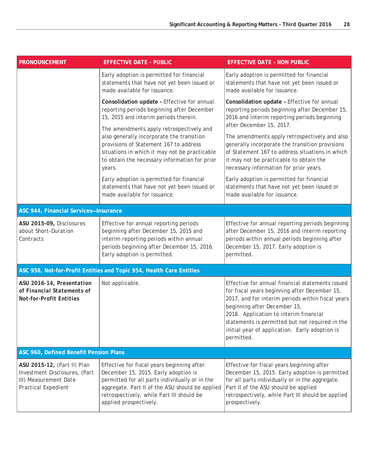| <b>PRONOUNCEMENT</b>                                                                                                | <b>EFFECTIVE DATE - PUBLIC</b>                                                                                                                                                                                                                                 | <b>EFFECTIVE DATE - NON PUBLIC</b>                                                                                                                                                                                                                                                                                                                  |
|---------------------------------------------------------------------------------------------------------------------|----------------------------------------------------------------------------------------------------------------------------------------------------------------------------------------------------------------------------------------------------------------|-----------------------------------------------------------------------------------------------------------------------------------------------------------------------------------------------------------------------------------------------------------------------------------------------------------------------------------------------------|
|                                                                                                                     | Early adoption is permitted for financial<br>statements that have not yet been issued or<br>made available for issuance.                                                                                                                                       | Early adoption is permitted for financial<br>statements that have not yet been issued or<br>made available for issuance.                                                                                                                                                                                                                            |
|                                                                                                                     | Consolidation update - Effective for annual<br>reporting periods beginning after December<br>15, 2015 and interim periods therein.                                                                                                                             | Consolidation update - Effective for annual<br>reporting periods beginning after December 15,<br>2016 and interim reporting periods beginning                                                                                                                                                                                                       |
|                                                                                                                     | The amendments apply retrospectively and<br>also generally incorporate the transition<br>provisions of Statement 167 to address<br>situations in which it may not be practicable<br>to obtain the necessary information for prior<br>years.                    | after December 15, 2017.<br>The amendments apply retrospectively and also<br>generally incorporate the transition provisions<br>of Statement 167 to address situations in which<br>it may not be practicable to obtain the<br>necessary information for prior years.                                                                                |
|                                                                                                                     | Early adoption is permitted for financial<br>statements that have not yet been issued or<br>made available for issuance.                                                                                                                                       | Early adoption is permitted for financial<br>statements that have not yet been issued or<br>made available for issuance.                                                                                                                                                                                                                            |
| ASC 944, Financial Services-Insurance                                                                               |                                                                                                                                                                                                                                                                |                                                                                                                                                                                                                                                                                                                                                     |
| ASU 2015-09, Disclosures<br>about Short-Duration<br>Contracts                                                       | Effective for annual reporting periods<br>beginning after December 15, 2015 and<br>interim reporting periods within annual<br>periods beginning after December 15, 2016.<br>Early adoption is permitted.                                                       | Effective for annual reporting periods beginning<br>after December 15, 2016 and interim reporting<br>periods within annual periods beginning after<br>December 15, 2017. Early adoption is<br>permitted.                                                                                                                                            |
|                                                                                                                     | ASC 958, Not-for-Profit Entities and Topic 954, Health Care Entities                                                                                                                                                                                           |                                                                                                                                                                                                                                                                                                                                                     |
| ASU 2016-14, Presentation<br>of Financial Statements of<br><b>Not-for-Profit Entities</b>                           | Not applicable.                                                                                                                                                                                                                                                | Effective for annual financial statements issued<br>for fiscal years beginning after December 15,<br>2017, and for interim periods within fiscal years<br>beginning after December 15,<br>2018. Application to interim financial<br>statements is permitted but not required in the<br>initial year of application. Early adoption is<br>permitted. |
| ASC 960, Defined Benefit Pension Plans                                                                              |                                                                                                                                                                                                                                                                |                                                                                                                                                                                                                                                                                                                                                     |
| ASU 2015-12, (Part II) Plan<br>Investment Disclosures, (Part<br>III) Measurement Date<br><b>Practical Expedient</b> | Effective for fiscal years beginning after<br>December 15, 2015. Early adoption is<br>permitted for all parts individually or in the<br>aggregate. Part II of the ASU should be applied<br>retrospectively, while Part III should be<br>applied prospectively. | Effective for fiscal years beginning after<br>December 15, 2015. Early adoption is permitted<br>for all parts individually or in the aggregate.<br>Part II of the ASU should be applied<br>retrospectively, while Part III should be applied<br>prospectively.                                                                                      |